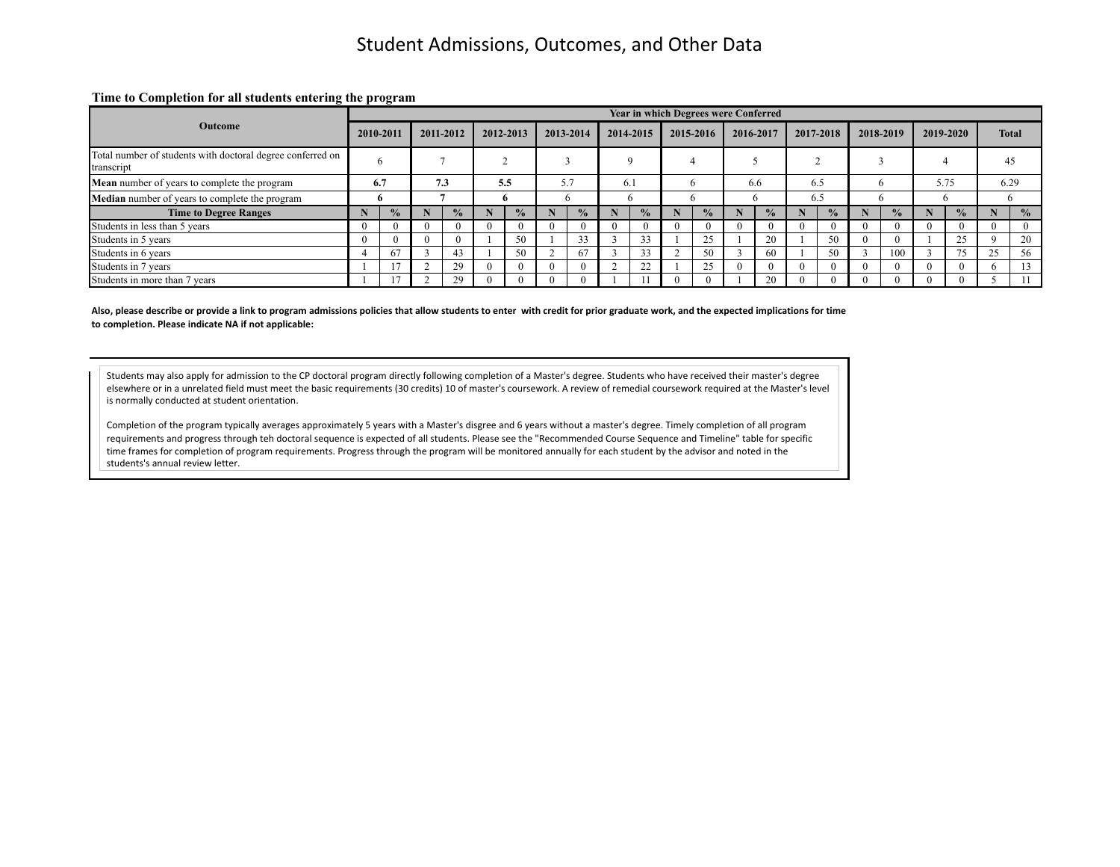#### **Time to Completion for all students entering the program**

|                                                                          |    |           |          |               |  |           |  |           |  |           |  | <b>Year in which Degrees were Conferred</b> |  |                |           |               |           |               |            |               |              |               |  |
|--------------------------------------------------------------------------|----|-----------|----------|---------------|--|-----------|--|-----------|--|-----------|--|---------------------------------------------|--|----------------|-----------|---------------|-----------|---------------|------------|---------------|--------------|---------------|--|
| <b>Outcome</b>                                                           |    | 2010-2011 |          | 2011-2012     |  | 2012-2013 |  | 2013-2014 |  | 2014-2015 |  | 2015-2016                                   |  | 2016-2017      | 2017-2018 |               | 2018-2019 |               | 2019-2020  |               | <b>Total</b> |               |  |
| Total number of students with doctoral degree conferred on<br>transcript |    |           |          |               |  |           |  |           |  |           |  |                                             |  |                |           |               |           |               |            |               |              | 45            |  |
| Mean number of years to complete the program                             |    | 6.7       |          | 7.3           |  | 5.5       |  | 57<br>ر د |  | 6.1       |  | 6.6                                         |  | 6.5            |           |               |           | 5.75          |            | 6.29          |              |               |  |
| Median number of years to complete the program                           |    |           |          |               |  |           |  | n         |  | n         |  |                                             |  |                | 6.5       |               |           |               |            |               |              |               |  |
| <b>Time to Degree Ranges</b>                                             |    | $\%$      |          | $\frac{1}{2}$ |  | $\%$      |  |           |  |           |  |                                             |  | $\frac{6}{10}$ |           | $\frac{0}{2}$ |           | $\frac{0}{2}$ |            | $\frac{0}{2}$ |              | $\frac{0}{0}$ |  |
| Students in less than 5 years                                            | -0 |           | $\theta$ |               |  |           |  |           |  |           |  |                                             |  | -0             |           | $^{\circ}$    |           | $^{\circ}$    | $^{\circ}$ | $\Omega$      |              |               |  |
| Students in 5 years                                                      |    |           | $\Omega$ |               |  | 50        |  | 33        |  | 33        |  | 25                                          |  | 20             |           | 50            |           | $^{\circ}$    |            | 25            |              | 20            |  |
| Students in 6 years                                                      |    | 67        |          | 43.           |  | 50        |  | 67        |  | 33        |  | 50                                          |  | 60             |           | 50            |           | 100           |            | 75            |              | 56            |  |
| Students in 7 years                                                      |    |           |          | 29            |  |           |  |           |  | 22        |  | 25                                          |  | $\Omega$       |           | $\Omega$      |           | $^{\circ}$    |            |               |              |               |  |
| Students in more than 7 years                                            |    |           |          |               |  |           |  |           |  |           |  |                                             |  | 20             |           |               |           | $\Omega$      |            |               |              |               |  |

Also, please describe or provide a link to program admissions policies that allow students to enter with credit for prior graduate work, and the expected implications for time to completion. Please indicate NA if not applicable:

Students may also apply for admission to the CP doctoral program directly following completion of a Master's degree. Students who have received their master's degree elsewhere or in a unrelated field must meet the basic requirements (30 credits) 10 of master's coursework. A review of remedial coursework required at the Master's level is normally conducted at student orientation.

Completion of the program typically averages approximately 5 years with a Master's disgree and 6 years without a master's degree. Timely completion of all program requirements and progress through teh doctoral sequence is expected of all students. Please see the "Recommended Course Sequence and Timeline" table for specific time frames for completion of program requirements. Progress through the program will be monitored annually for each student by the advisor and noted in the students's annual review letter.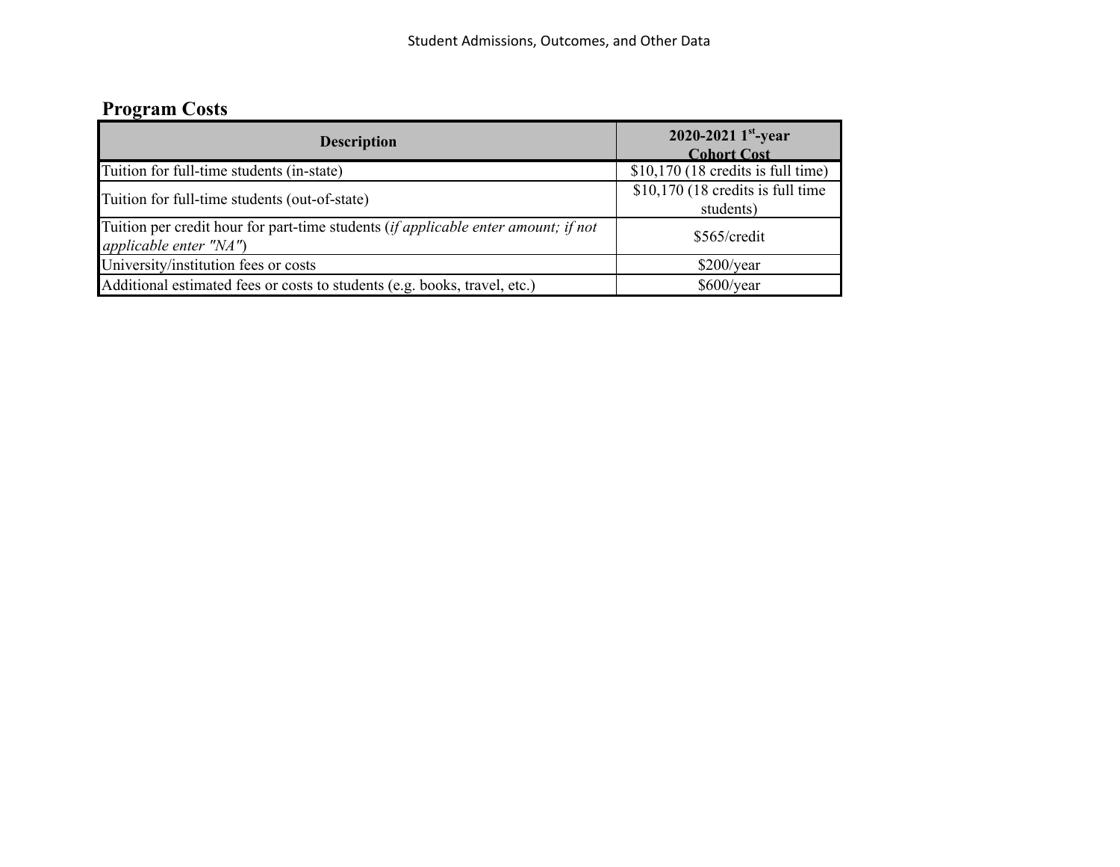# **Program Costs**

| <b>Description</b>                                                                                           | 2020-2021 $1^{st}$ -year<br><b>Cohort Cost</b>  |  |  |  |  |  |  |
|--------------------------------------------------------------------------------------------------------------|-------------------------------------------------|--|--|--|--|--|--|
| Tuition for full-time students (in-state)                                                                    | $$10,170$ (18 credits is full time)             |  |  |  |  |  |  |
| Tuition for full-time students (out-of-state)                                                                | $$10,170$ (18 credits is full time<br>students) |  |  |  |  |  |  |
| Tuition per credit hour for part-time students (if applicable enter amount; if not<br>applicable enter "NA") | \$565/credit                                    |  |  |  |  |  |  |
| University/institution fees or costs                                                                         | \$200/year                                      |  |  |  |  |  |  |
| Additional estimated fees or costs to students (e.g. books, travel, etc.)                                    | \$600/year                                      |  |  |  |  |  |  |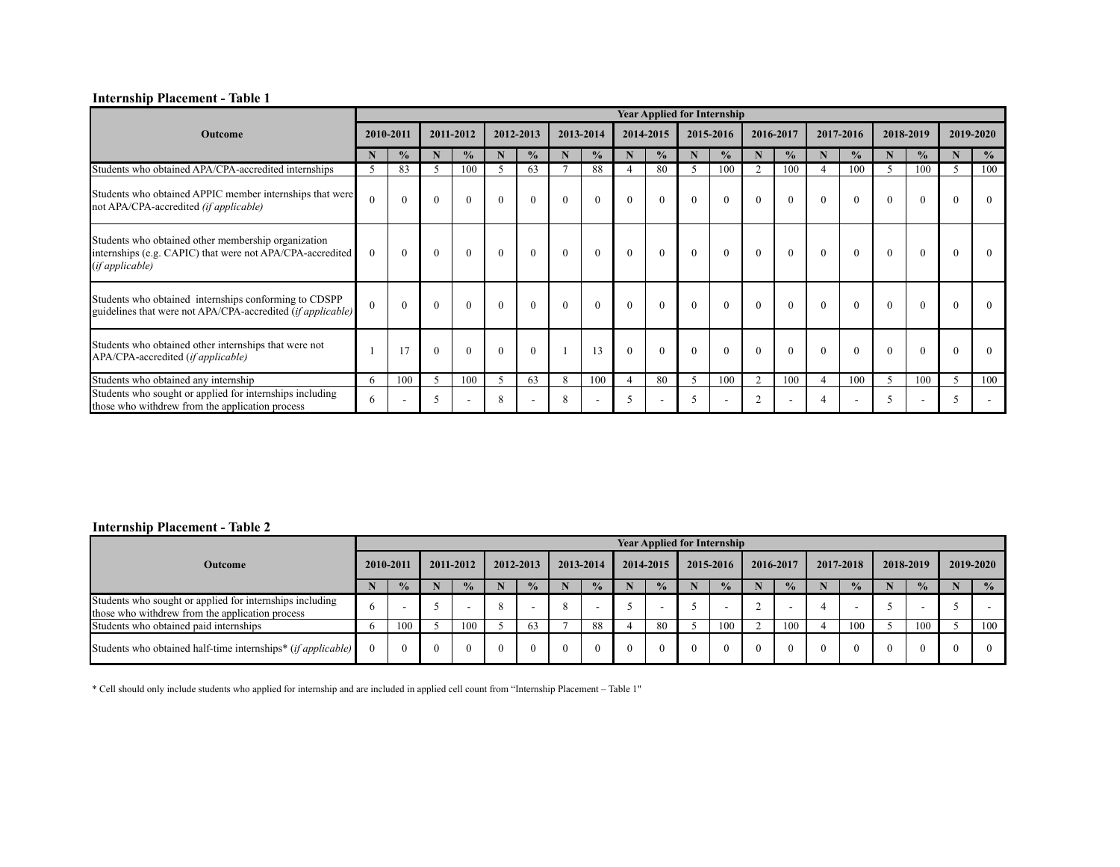### **Internship Placement - Table 1**

|                                                                                                                                     |              |               |           |               |          |               |          |               |           |               |                          | <b>Year Applied for Internship</b> |                |               |          |                          |           |               |           |               |
|-------------------------------------------------------------------------------------------------------------------------------------|--------------|---------------|-----------|---------------|----------|---------------|----------|---------------|-----------|---------------|--------------------------|------------------------------------|----------------|---------------|----------|--------------------------|-----------|---------------|-----------|---------------|
| Outcome                                                                                                                             | 2010-2011    |               | 2011-2012 |               |          | 2012-2013     |          | 2013-2014     | 2014-2015 |               | 2015-2016                |                                    | 2016-2017      |               |          | 2017-2016                | 2018-2019 |               | 2019-2020 |               |
|                                                                                                                                     |              | $\frac{0}{2}$ | N         | $\frac{0}{0}$ | N        | $\frac{0}{0}$ | N        | $\frac{0}{0}$ | N         | $\frac{0}{0}$ | N                        | $\frac{0}{0}$                      |                | $\frac{0}{0}$ |          | $\frac{0}{0}$            | N         | $\frac{0}{0}$ | N         | $\frac{0}{0}$ |
| Students who obtained APA/CPA-accredited internships                                                                                | 5.           | 83            | 5         | 100           | 5        | 63            |          | 88            |           | 80            | .5                       | 100                                | $\overline{2}$ | 100           |          | 100                      | 5         | 100           | 5         | 100           |
| Students who obtained APPIC member internships that were<br>not APA/CPA-accredited (if applicable)                                  | $\Omega$     | $\Omega$      |           |               |          | $\Omega$      |          | $\Omega$      |           | $\Omega$      | $\Omega$                 | $\theta$                           | $\theta$       | $\theta$      | $\Omega$ |                          | $\Omega$  | $\Omega$      | $\Omega$  | $\Omega$      |
| Students who obtained other membership organization<br>internships (e.g. CAPIC) that were not APA/CPA-accredited<br>(if applicable) | $\mathbf{0}$ | $\mathbf{0}$  | $\theta$  | $\theta$      | $\theta$ | $\theta$      | $\Omega$ | $\theta$      | $\Omega$  | $\Omega$      | $\theta$                 | $\Omega$                           | $\theta$       | $\theta$      | $\theta$ | $\Omega$                 | $\theta$  | $\theta$      | $\Omega$  |               |
| Students who obtained internships conforming to CDSPP<br>guidelines that were not APA/CPA-accredited ( <i>if applicable</i> )       | $\theta$     | $\Omega$      | $\Omega$  |               | $\Omega$ | $\Omega$      |          | $\Omega$      | $\Omega$  | $\Omega$      | $\Omega$                 | $\theta$                           | $\theta$       | $\theta$      | $\theta$ | $\theta$                 | $\Omega$  | $\Omega$      | $\Omega$  | $\Omega$      |
| Students who obtained other internships that were not<br>APA/CPA-accredited (if applicable)                                         |              |               | $\Omega$  |               |          | $\theta$      |          | 13            |           | $\Omega$      | $\Omega$                 | $\Omega$                           | $\theta$       | $\Omega$      | $\Omega$ | $\Omega$                 | $\Omega$  |               |           | $\Omega$      |
| Students who obtained any internship                                                                                                | 6            | 100           | 5         | 100           | 5        | 63            | 8        | 100           |           | 80            | 5                        | 100                                | $\overline{2}$ | 100           |          | 100                      | 5         | 100           | 5         | 100           |
| Students who sought or applied for internships including<br>those who withdrew from the application process                         | 6            |               | 5         |               | 8        |               |          |               |           |               | $\overline{\phantom{0}}$ |                                    | $\sim$         |               |          | $\overline{\phantom{a}}$ |           |               |           |               |

### **Internship Placement - Table 2**

|                                                                                                              |    |               |  |               |  |               |          |               |  |               |          | <b>Year Applied for Internship</b> |          |               |  |               |  |               |               |
|--------------------------------------------------------------------------------------------------------------|----|---------------|--|---------------|--|---------------|----------|---------------|--|---------------|----------|------------------------------------|----------|---------------|--|---------------|--|---------------|---------------|
| <b>Outcome</b>                                                                                               |    | 2010-2011     |  | 2011-2012     |  | 2012-2013     |          | 2013-2014     |  | 2014-2015     |          | 2015-2016                          |          | 2016-2017     |  | 2017-2018     |  | 2018-2019     | 2019-2020     |
|                                                                                                              |    | $\frac{0}{2}$ |  | $\frac{0}{2}$ |  | $\frac{0}{2}$ |          | $\frac{0}{2}$ |  | $\frac{0}{2}$ |          | $\frac{0}{2}$                      |          | $\frac{0}{2}$ |  | $\frac{0}{2}$ |  | $\frac{1}{2}$ | $\frac{0}{0}$ |
| Students who sought or applied for internships including<br>those who with drew from the application process |    |               |  |               |  |               |          |               |  |               |          |                                    |          |               |  | -             |  |               |               |
| Students who obtained paid internships                                                                       |    | 100           |  | 100           |  | 63            |          | 88            |  | 80            |          | 100                                |          | 100           |  | 100           |  | 100           | 100           |
| Students who obtained half-time internships* ( <i>if applicable</i> )                                        | 0. |               |  |               |  | $\theta$      | $\theta$ | $\Omega$      |  | $\theta$      | $\Omega$ | $\Omega$                           | $\Omega$ | $\theta$      |  | $\Omega$      |  | $\Omega$      | $\Omega$      |

\* Cell should only include students who applied for internship and are included in applied cell count from "Internship Placement – Table 1"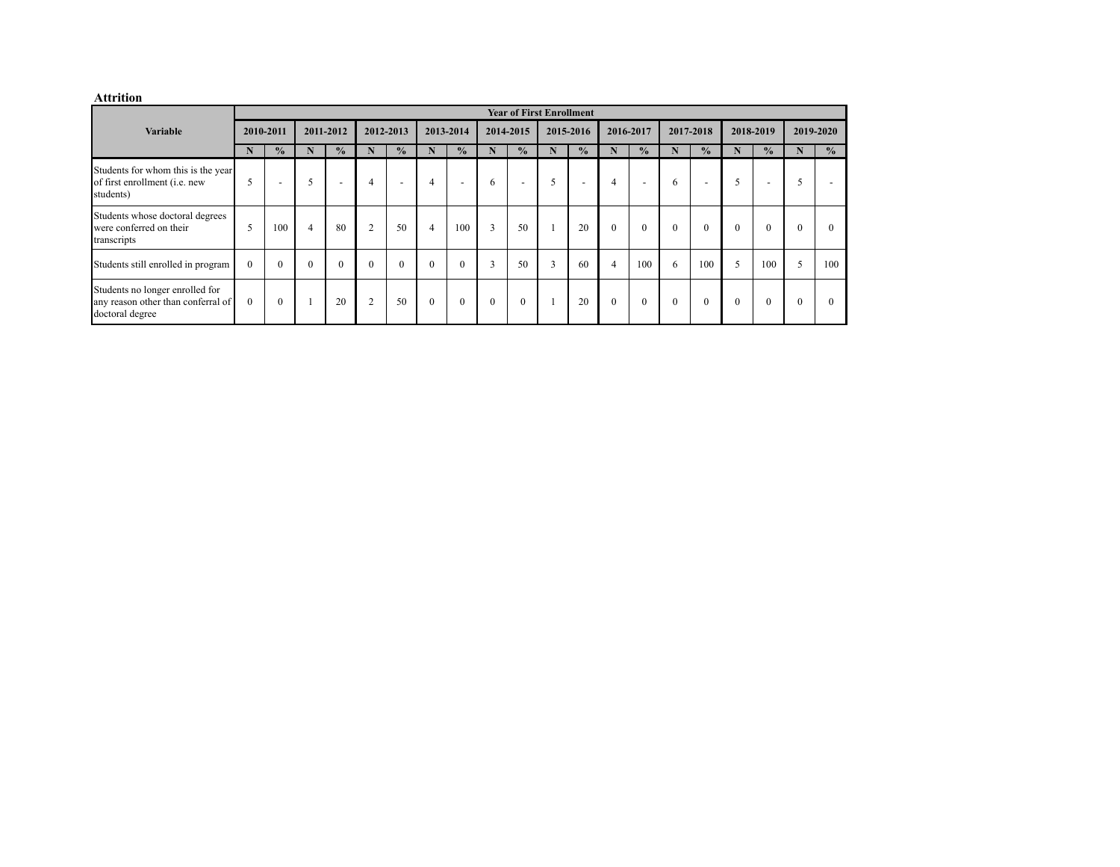#### **Attrition**

|                                                                                          |           |               |           |               |                |               |           |               |              | <b>Year of First Enrollment</b> |           |               |              |               |              |               |              |               |              |               |
|------------------------------------------------------------------------------------------|-----------|---------------|-----------|---------------|----------------|---------------|-----------|---------------|--------------|---------------------------------|-----------|---------------|--------------|---------------|--------------|---------------|--------------|---------------|--------------|---------------|
| <b>Variable</b>                                                                          | 2010-2011 |               | 2011-2012 |               | 2012-2013      |               | 2013-2014 |               | 2014-2015    |                                 | 2015-2016 |               | 2016-2017    |               | 2017-2018    |               | 2018-2019    |               | 2019-2020    |               |
|                                                                                          | N         | $\frac{0}{2}$ | N         | $\frac{0}{0}$ | N              | $\frac{0}{0}$ | N         | $\frac{0}{0}$ | N            | $\frac{0}{0}$                   | N         | $\frac{0}{0}$ | N            | $\frac{0}{0}$ | N            | $\frac{0}{2}$ | N            | $\frac{0}{0}$ | N            | $\frac{0}{0}$ |
| Students for whom this is the year<br>of first enrollment (i.e. new<br>students)         | 5         |               | 5         |               | $\overline{4}$ |               | 4         |               | 6            |                                 | 5         |               | 4            |               | 6            |               |              |               | 5            |               |
| Students whose doctoral degrees<br>were conferred on their<br>transcripts                | 5         | 100           | 4         | 80            | 2              | 50            | 4         | 100           | 3            | 50                              |           | 20            | $\theta$     | $\theta$      | $\theta$     | $\theta$      | $\Omega$     | $\Omega$      | $\Omega$     | $\Omega$      |
| Students still enrolled in program                                                       | $\Omega$  | $\theta$      | $\Omega$  | $\Omega$      | $\Omega$       | $\theta$      | $\Omega$  | $\theta$      | 3            | 50                              | 3         | 60            | 4            | 100           | 6            | 100           | 5            | 100           | 5            | 100           |
| Students no longer enrolled for<br>any reason other than conferral of<br>doctoral degree | $\Omega$  | $\theta$      |           | 20            | 2              | 50            | $\Omega$  | $\mathbf{0}$  | $\mathbf{0}$ | $\theta$                        |           | 20            | $\mathbf{0}$ | $\mathbf{0}$  | $\mathbf{0}$ | $\theta$      | $\mathbf{0}$ | $\mathbf{0}$  | $\mathbf{0}$ | $\Omega$      |